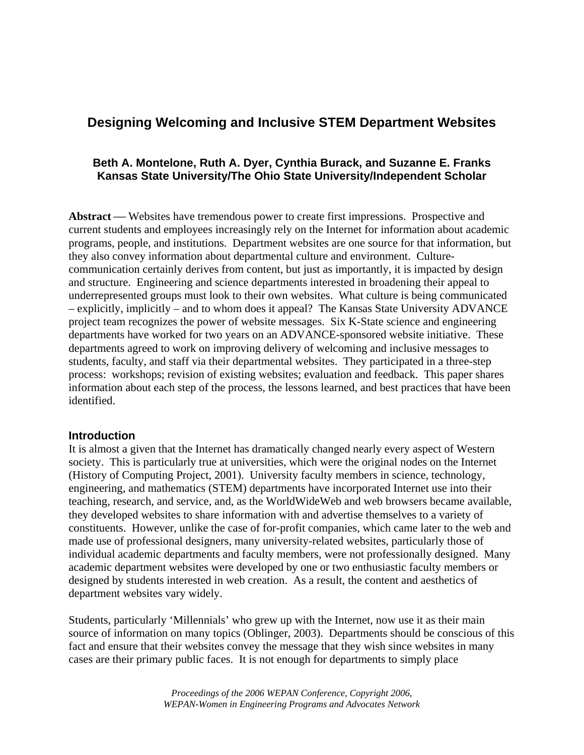# **Designing Welcoming and Inclusive STEM Department Websites**

# **Beth A. Montelone, Ruth A. Dyer, Cynthia Burack, and Suzanne E. Franks Kansas State University/The Ohio State University/Independent Scholar**

**Abstract** — Websites have tremendous power to create first impressions. Prospective and current students and employees increasingly rely on the Internet for information about academic programs, people, and institutions. Department websites are one source for that information, but they also convey information about departmental culture and environment. Culturecommunication certainly derives from content, but just as importantly, it is impacted by design and structure. Engineering and science departments interested in broadening their appeal to underrepresented groups must look to their own websites. What culture is being communicated – explicitly, implicitly – and to whom does it appeal? The Kansas State University ADVANCE project team recognizes the power of website messages. Six K-State science and engineering departments have worked for two years on an ADVANCE-sponsored website initiative. These departments agreed to work on improving delivery of welcoming and inclusive messages to students, faculty, and staff via their departmental websites. They participated in a three-step process: workshops; revision of existing websites; evaluation and feedback. This paper shares information about each step of the process, the lessons learned, and best practices that have been identified.

### **Introduction**

It is almost a given that the Internet has dramatically changed nearly every aspect of Western society. This is particularly true at universities, which were the original nodes on the Internet (History of Computing Project, 2001). University faculty members in science, technology, engineering, and mathematics (STEM) departments have incorporated Internet use into their teaching, research, and service, and, as the WorldWideWeb and web browsers became available, they developed websites to share information with and advertise themselves to a variety of constituents. However, unlike the case of for-profit companies, which came later to the web and made use of professional designers, many university-related websites, particularly those of individual academic departments and faculty members, were not professionally designed. Many academic department websites were developed by one or two enthusiastic faculty members or designed by students interested in web creation. As a result, the content and aesthetics of department websites vary widely.

Students, particularly 'Millennials' who grew up with the Internet, now use it as their main source of information on many topics (Oblinger, 2003). Departments should be conscious of this fact and ensure that their websites convey the message that they wish since websites in many cases are their primary public faces. It is not enough for departments to simply place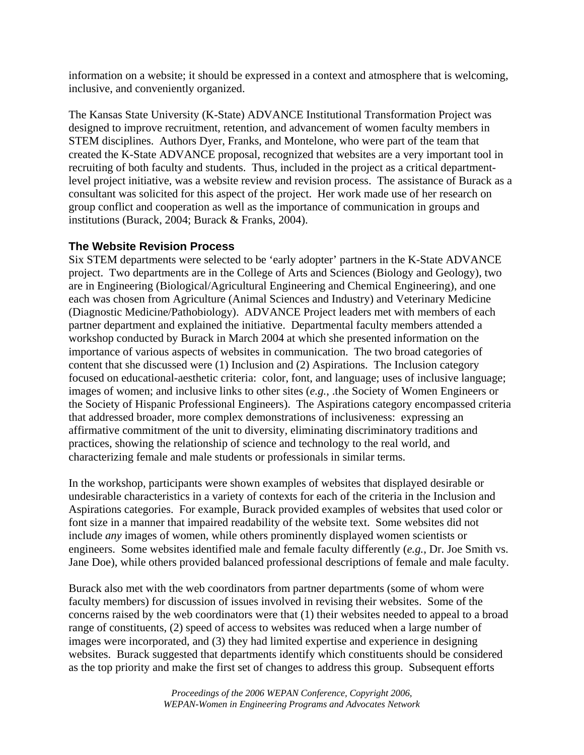information on a website; it should be expressed in a context and atmosphere that is welcoming, inclusive, and conveniently organized.

The Kansas State University (K-State) ADVANCE Institutional Transformation Project was designed to improve recruitment, retention, and advancement of women faculty members in STEM disciplines. Authors Dyer, Franks, and Montelone, who were part of the team that created the K-State ADVANCE proposal, recognized that websites are a very important tool in recruiting of both faculty and students. Thus, included in the project as a critical departmentlevel project initiative, was a website review and revision process. The assistance of Burack as a consultant was solicited for this aspect of the project. Her work made use of her research on group conflict and cooperation as well as the importance of communication in groups and institutions (Burack, 2004; Burack & Franks, 2004).

# **The Website Revision Process**

Six STEM departments were selected to be 'early adopter' partners in the K-State ADVANCE project. Two departments are in the College of Arts and Sciences (Biology and Geology), two are in Engineering (Biological/Agricultural Engineering and Chemical Engineering), and one each was chosen from Agriculture (Animal Sciences and Industry) and Veterinary Medicine (Diagnostic Medicine/Pathobiology). ADVANCE Project leaders met with members of each partner department and explained the initiative. Departmental faculty members attended a workshop conducted by Burack in March 2004 at which she presented information on the importance of various aspects of websites in communication. The two broad categories of content that she discussed were (1) Inclusion and (2) Aspirations. The Inclusion category focused on educational-aesthetic criteria: color, font, and language; uses of inclusive language; images of women; and inclusive links to other sites (*e.g.*, .the Society of Women Engineers or the Society of Hispanic Professional Engineers). The Aspirations category encompassed criteria that addressed broader, more complex demonstrations of inclusiveness: expressing an affirmative commitment of the unit to diversity, eliminating discriminatory traditions and practices, showing the relationship of science and technology to the real world, and characterizing female and male students or professionals in similar terms.

In the workshop, participants were shown examples of websites that displayed desirable or undesirable characteristics in a variety of contexts for each of the criteria in the Inclusion and Aspirations categories. For example, Burack provided examples of websites that used color or font size in a manner that impaired readability of the website text. Some websites did not include *any* images of women, while others prominently displayed women scientists or engineers. Some websites identified male and female faculty differently (*e.g.*, Dr. Joe Smith vs. Jane Doe), while others provided balanced professional descriptions of female and male faculty.

Burack also met with the web coordinators from partner departments (some of whom were faculty members) for discussion of issues involved in revising their websites. Some of the concerns raised by the web coordinators were that (1) their websites needed to appeal to a broad range of constituents, (2) speed of access to websites was reduced when a large number of images were incorporated, and (3) they had limited expertise and experience in designing websites. Burack suggested that departments identify which constituents should be considered as the top priority and make the first set of changes to address this group. Subsequent efforts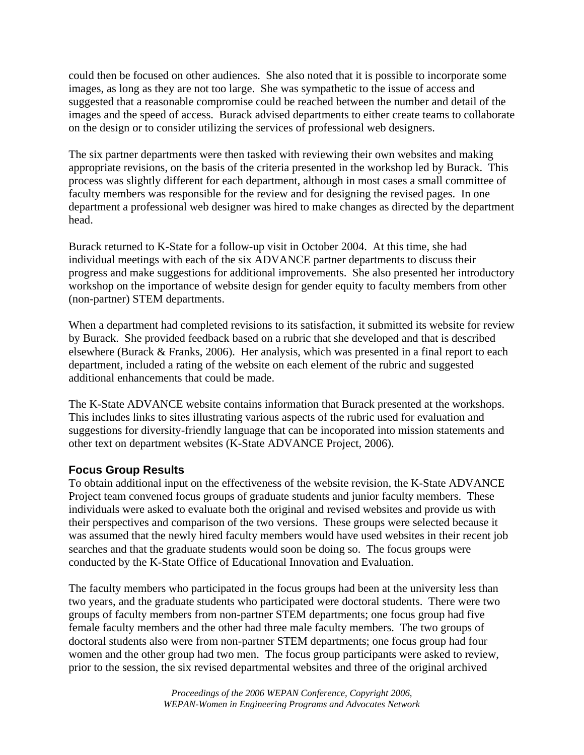could then be focused on other audiences. She also noted that it is possible to incorporate some images, as long as they are not too large. She was sympathetic to the issue of access and suggested that a reasonable compromise could be reached between the number and detail of the images and the speed of access. Burack advised departments to either create teams to collaborate on the design or to consider utilizing the services of professional web designers.

The six partner departments were then tasked with reviewing their own websites and making appropriate revisions, on the basis of the criteria presented in the workshop led by Burack. This process was slightly different for each department, although in most cases a small committee of faculty members was responsible for the review and for designing the revised pages. In one department a professional web designer was hired to make changes as directed by the department head.

Burack returned to K-State for a follow-up visit in October 2004. At this time, she had individual meetings with each of the six ADVANCE partner departments to discuss their progress and make suggestions for additional improvements. She also presented her introductory workshop on the importance of website design for gender equity to faculty members from other (non-partner) STEM departments.

When a department had completed revisions to its satisfaction, it submitted its website for review by Burack. She provided feedback based on a rubric that she developed and that is described elsewhere (Burack & Franks, 2006). Her analysis, which was presented in a final report to each department, included a rating of the website on each element of the rubric and suggested additional enhancements that could be made.

The K-State ADVANCE website contains information that Burack presented at the workshops. This includes links to sites illustrating various aspects of the rubric used for evaluation and suggestions for diversity-friendly language that can be incoporated into mission statements and other text on department websites (K-State ADVANCE Project, 2006).

# **Focus Group Results**

To obtain additional input on the effectiveness of the website revision, the K-State ADVANCE Project team convened focus groups of graduate students and junior faculty members. These individuals were asked to evaluate both the original and revised websites and provide us with their perspectives and comparison of the two versions. These groups were selected because it was assumed that the newly hired faculty members would have used websites in their recent job searches and that the graduate students would soon be doing so. The focus groups were conducted by the K-State Office of Educational Innovation and Evaluation.

The faculty members who participated in the focus groups had been at the university less than two years, and the graduate students who participated were doctoral students. There were two groups of faculty members from non-partner STEM departments; one focus group had five female faculty members and the other had three male faculty members. The two groups of doctoral students also were from non-partner STEM departments; one focus group had four women and the other group had two men. The focus group participants were asked to review, prior to the session, the six revised departmental websites and three of the original archived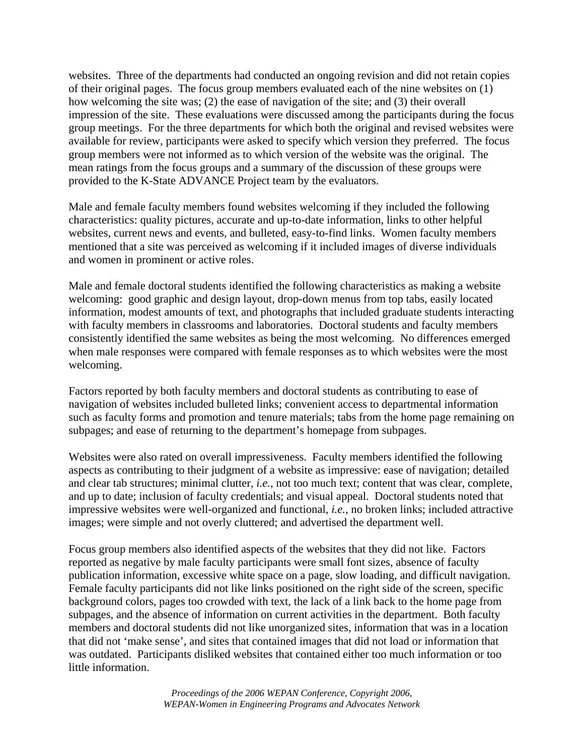websites. Three of the departments had conducted an ongoing revision and did not retain copies of their original pages. The focus group members evaluated each of the nine websites on (1) how welcoming the site was; (2) the ease of navigation of the site; and (3) their overall impression of the site. These evaluations were discussed among the participants during the focus group meetings. For the three departments for which both the original and revised websites were available for review, participants were asked to specify which version they preferred. The focus group members were not informed as to which version of the website was the original. The mean ratings from the focus groups and a summary of the discussion of these groups were provided to the K-State ADVANCE Project team by the evaluators.

Male and female faculty members found websites welcoming if they included the following characteristics: quality pictures, accurate and up-to-date information, links to other helpful websites, current news and events, and bulleted, easy-to-find links. Women faculty members mentioned that a site was perceived as welcoming if it included images of diverse individuals and women in prominent or active roles.

Male and female doctoral students identified the following characteristics as making a website welcoming: good graphic and design layout, drop-down menus from top tabs, easily located information, modest amounts of text, and photographs that included graduate students interacting with faculty members in classrooms and laboratories. Doctoral students and faculty members consistently identified the same websites as being the most welcoming. No differences emerged when male responses were compared with female responses as to which websites were the most welcoming.

Factors reported by both faculty members and doctoral students as contributing to ease of navigation of websites included bulleted links; convenient access to departmental information such as faculty forms and promotion and tenure materials; tabs from the home page remaining on subpages; and ease of returning to the department's homepage from subpages.

Websites were also rated on overall impressiveness. Faculty members identified the following aspects as contributing to their judgment of a website as impressive: ease of navigation; detailed and clear tab structures; minimal clutter, *i.e.*, not too much text; content that was clear, complete, and up to date; inclusion of faculty credentials; and visual appeal. Doctoral students noted that impressive websites were well-organized and functional, *i.e.*, no broken links; included attractive images; were simple and not overly cluttered; and advertised the department well.

Focus group members also identified aspects of the websites that they did not like. Factors reported as negative by male faculty participants were small font sizes, absence of faculty publication information, excessive white space on a page, slow loading, and difficult navigation. Female faculty participants did not like links positioned on the right side of the screen, specific background colors, pages too crowded with text, the lack of a link back to the home page from subpages, and the absence of information on current activities in the department. Both faculty members and doctoral students did not like unorganized sites, information that was in a location that did not 'make sense', and sites that contained images that did not load or information that was outdated. Participants disliked websites that contained either too much information or too little information.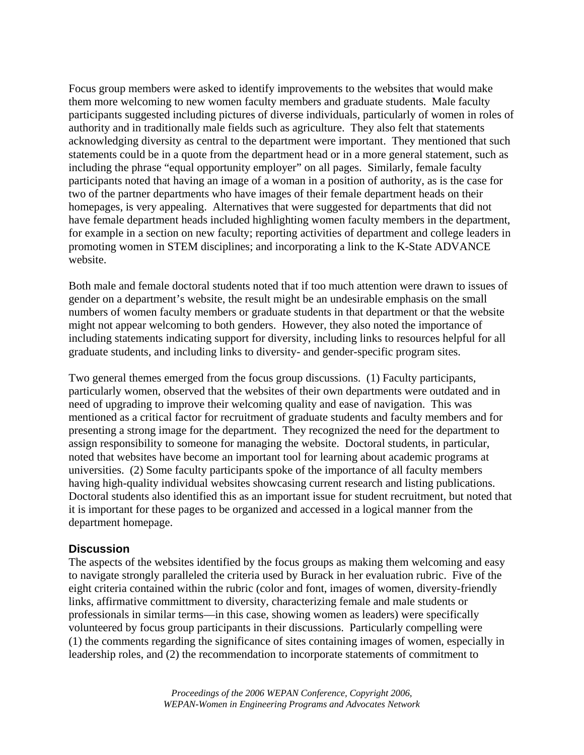Focus group members were asked to identify improvements to the websites that would make them more welcoming to new women faculty members and graduate students. Male faculty participants suggested including pictures of diverse individuals, particularly of women in roles of authority and in traditionally male fields such as agriculture. They also felt that statements acknowledging diversity as central to the department were important. They mentioned that such statements could be in a quote from the department head or in a more general statement, such as including the phrase "equal opportunity employer" on all pages. Similarly, female faculty participants noted that having an image of a woman in a position of authority, as is the case for two of the partner departments who have images of their female department heads on their homepages, is very appealing. Alternatives that were suggested for departments that did not have female department heads included highlighting women faculty members in the department, for example in a section on new faculty; reporting activities of department and college leaders in promoting women in STEM disciplines; and incorporating a link to the K-State ADVANCE website.

Both male and female doctoral students noted that if too much attention were drawn to issues of gender on a department's website, the result might be an undesirable emphasis on the small numbers of women faculty members or graduate students in that department or that the website might not appear welcoming to both genders. However, they also noted the importance of including statements indicating support for diversity, including links to resources helpful for all graduate students, and including links to diversity- and gender-specific program sites.

Two general themes emerged from the focus group discussions. (1) Faculty participants, particularly women, observed that the websites of their own departments were outdated and in need of upgrading to improve their welcoming quality and ease of navigation. This was mentioned as a critical factor for recruitment of graduate students and faculty members and for presenting a strong image for the department. They recognized the need for the department to assign responsibility to someone for managing the website. Doctoral students, in particular, noted that websites have become an important tool for learning about academic programs at universities. (2) Some faculty participants spoke of the importance of all faculty members having high-quality individual websites showcasing current research and listing publications. Doctoral students also identified this as an important issue for student recruitment, but noted that it is important for these pages to be organized and accessed in a logical manner from the department homepage.

### **Discussion**

The aspects of the websites identified by the focus groups as making them welcoming and easy to navigate strongly paralleled the criteria used by Burack in her evaluation rubric. Five of the eight criteria contained within the rubric (color and font, images of women, diversity-friendly links, affirmative committment to diversity, characterizing female and male students or professionals in similar terms—in this case, showing women as leaders) were specifically volunteered by focus group participants in their discussions. Particularly compelling were (1) the comments regarding the significance of sites containing images of women, especially in leadership roles, and (2) the recommendation to incorporate statements of commitment to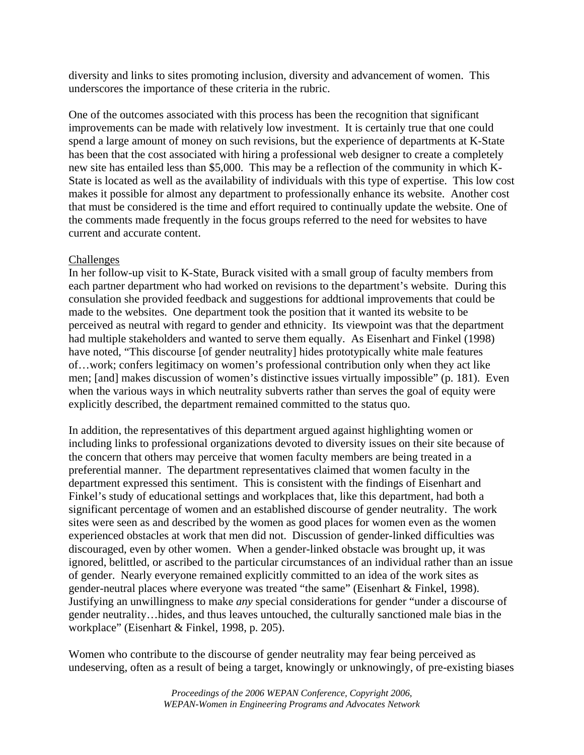diversity and links to sites promoting inclusion, diversity and advancement of women. This underscores the importance of these criteria in the rubric.

One of the outcomes associated with this process has been the recognition that significant improvements can be made with relatively low investment. It is certainly true that one could spend a large amount of money on such revisions, but the experience of departments at K-State has been that the cost associated with hiring a professional web designer to create a completely new site has entailed less than \$5,000. This may be a reflection of the community in which K-State is located as well as the availability of individuals with this type of expertise. This low cost makes it possible for almost any department to professionally enhance its website. Another cost that must be considered is the time and effort required to continually update the website. One of the comments made frequently in the focus groups referred to the need for websites to have current and accurate content.

### Challenges

In her follow-up visit to K-State, Burack visited with a small group of faculty members from each partner department who had worked on revisions to the department's website. During this consulation she provided feedback and suggestions for addtional improvements that could be made to the websites. One department took the position that it wanted its website to be perceived as neutral with regard to gender and ethnicity. Its viewpoint was that the department had multiple stakeholders and wanted to serve them equally. As Eisenhart and Finkel (1998) have noted, "This discourse [of gender neutrality] hides prototypically white male features of…work; confers legitimacy on women's professional contribution only when they act like men; [and] makes discussion of women's distinctive issues virtually impossible" (p. 181). Even when the various ways in which neutrality subverts rather than serves the goal of equity were explicitly described, the department remained committed to the status quo.

In addition, the representatives of this department argued against highlighting women or including links to professional organizations devoted to diversity issues on their site because of the concern that others may perceive that women faculty members are being treated in a preferential manner. The department representatives claimed that women faculty in the department expressed this sentiment. This is consistent with the findings of Eisenhart and Finkel's study of educational settings and workplaces that, like this department, had both a significant percentage of women and an established discourse of gender neutrality. The work sites were seen as and described by the women as good places for women even as the women experienced obstacles at work that men did not. Discussion of gender-linked difficulties was discouraged, even by other women. When a gender-linked obstacle was brought up, it was ignored, belittled, or ascribed to the particular circumstances of an individual rather than an issue of gender. Nearly everyone remained explicitly committed to an idea of the work sites as gender-neutral places where everyone was treated "the same" (Eisenhart & Finkel, 1998). Justifying an unwillingness to make *any* special considerations for gender "under a discourse of gender neutrality…hides, and thus leaves untouched, the culturally sanctioned male bias in the workplace" (Eisenhart & Finkel, 1998, p. 205).

Women who contribute to the discourse of gender neutrality may fear being perceived as undeserving, often as a result of being a target, knowingly or unknowingly, of pre-existing biases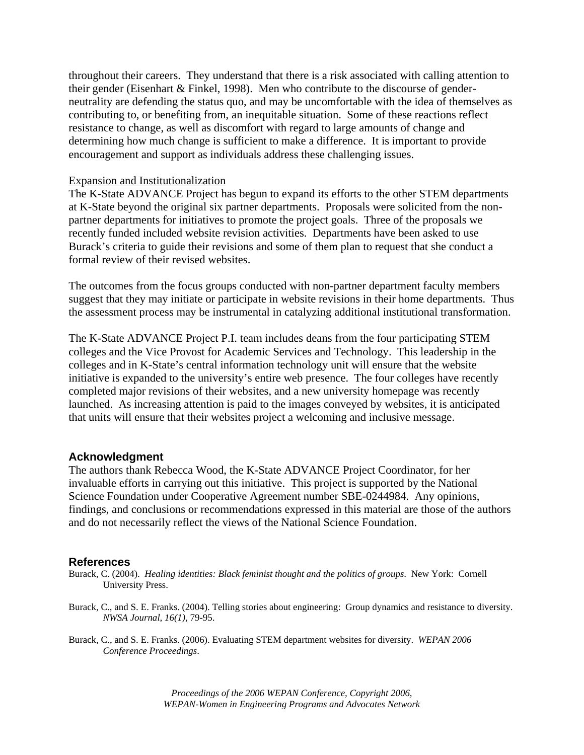throughout their careers. They understand that there is a risk associated with calling attention to their gender (Eisenhart & Finkel, 1998). Men who contribute to the discourse of genderneutrality are defending the status quo, and may be uncomfortable with the idea of themselves as contributing to, or benefiting from, an inequitable situation. Some of these reactions reflect resistance to change, as well as discomfort with regard to large amounts of change and determining how much change is sufficient to make a difference. It is important to provide encouragement and support as individuals address these challenging issues.

#### Expansion and Institutionalization

The K-State ADVANCE Project has begun to expand its efforts to the other STEM departments at K-State beyond the original six partner departments. Proposals were solicited from the nonpartner departments for initiatives to promote the project goals. Three of the proposals we recently funded included website revision activities. Departments have been asked to use Burack's criteria to guide their revisions and some of them plan to request that she conduct a formal review of their revised websites.

The outcomes from the focus groups conducted with non-partner department faculty members suggest that they may initiate or participate in website revisions in their home departments. Thus the assessment process may be instrumental in catalyzing additional institutional transformation.

The K-State ADVANCE Project P.I. team includes deans from the four participating STEM colleges and the Vice Provost for Academic Services and Technology. This leadership in the colleges and in K-State's central information technology unit will ensure that the website initiative is expanded to the university's entire web presence. The four colleges have recently completed major revisions of their websites, and a new university homepage was recently launched. As increasing attention is paid to the images conveyed by websites, it is anticipated that units will ensure that their websites project a welcoming and inclusive message.

#### **Acknowledgment**

The authors thank Rebecca Wood, the K-State ADVANCE Project Coordinator, for her invaluable efforts in carrying out this initiative. This project is supported by the National Science Foundation under Cooperative Agreement number SBE-0244984. Any opinions, findings, and conclusions or recommendations expressed in this material are those of the authors and do not necessarily reflect the views of the National Science Foundation.

#### **References**

- Burack, C. (2004). *Healing identities: Black feminist thought and the politics of groups*. New York: Cornell University Press.
- Burack, C., and S. E. Franks. (2004). Telling stories about engineering: Group dynamics and resistance to diversity. *NWSA Journal*, *16(1),* 79-95.
- Burack, C., and S. E. Franks. (2006). Evaluating STEM department websites for diversity. *WEPAN 2006 Conference Proceedings*.